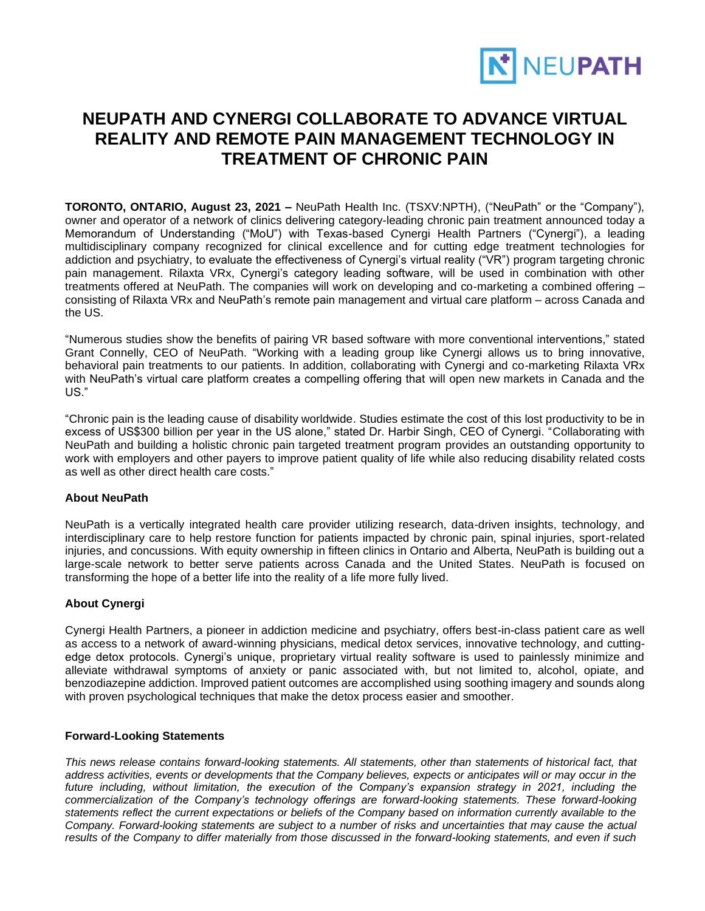

## **NEUPATH AND CYNERGI COLLABORATE TO ADVANCE VIRTUAL REALITY AND REMOTE PAIN MANAGEMENT TECHNOLOGY IN TREATMENT OF CHRONIC PAIN**

**TORONTO, ONTARIO, August 23, 2021 –** NeuPath Health Inc. (TSXV:NPTH), ("NeuPath" or the "Company"), owner and operator of a network of clinics delivering category-leading chronic pain treatment announced today a Memorandum of Understanding ("MoU") with Texas-based Cynergi Health Partners ("Cynergi"), a leading multidisciplinary company recognized for clinical excellence and for cutting edge treatment technologies for addiction and psychiatry, to evaluate the effectiveness of Cynergi's virtual reality ("VR") program targeting chronic pain management. Rilaxta VRx, Cynergi's category leading software, will be used in combination with other treatments offered at NeuPath. The companies will work on developing and co-marketing a combined offering – consisting of Rilaxta VRx and NeuPath's remote pain management and virtual care platform – across Canada and the US.

"Numerous studies show the benefits of pairing VR based software with more conventional interventions," stated Grant Connelly, CEO of NeuPath. "Working with a leading group like Cynergi allows us to bring innovative, behavioral pain treatments to our patients. In addition, collaborating with Cynergi and co-marketing Rilaxta VRx with NeuPath's virtual care platform creates a compelling offering that will open new markets in Canada and the US."

"Chronic pain is the leading cause of disability worldwide. Studies estimate the cost of this lost productivity to be in excess of US\$300 billion per year in the US alone," stated Dr. Harbir Singh, CEO of Cynergi. "Collaborating with NeuPath and building a holistic chronic pain targeted treatment program provides an outstanding opportunity to work with employers and other payers to improve patient quality of life while also reducing disability related costs as well as other direct health care costs."

## **About NeuPath**

NeuPath is a vertically integrated health care provider utilizing research, data-driven insights, technology, and interdisciplinary care to help restore function for patients impacted by chronic pain, spinal injuries, sport-related injuries, and concussions. With equity ownership in fifteen clinics in Ontario and Alberta, NeuPath is building out a large-scale network to better serve patients across Canada and the United States. NeuPath is focused on transforming the hope of a better life into the reality of a life more fully lived.

## **About Cynergi**

Cynergi Health Partners, a pioneer in addiction medicine and psychiatry, offers best-in-class patient care as well as access to a network of award-winning physicians, medical detox services, innovative technology, and cuttingedge detox protocols. Cynergi's unique, proprietary virtual reality software is used to painlessly minimize and alleviate withdrawal symptoms of anxiety or panic associated with, but not limited to, alcohol, opiate, and benzodiazepine addiction. Improved patient outcomes are accomplished using soothing imagery and sounds along with proven psychological techniques that make the detox process easier and smoother.

## **Forward-Looking Statements**

*This news release contains forward-looking statements. All statements, other than statements of historical fact, that address activities, events or developments that the Company believes, expects or anticipates will or may occur in the future including, without limitation, the execution of the Company's expansion strategy in 2021, including the commercialization of the Company's technology offerings are forward-looking statements. These forward-looking statements reflect the current expectations or beliefs of the Company based on information currently available to the Company. Forward-looking statements are subject to a number of risks and uncertainties that may cause the actual*  results of the Company to differ materially from those discussed in the forward-looking statements, and even if such